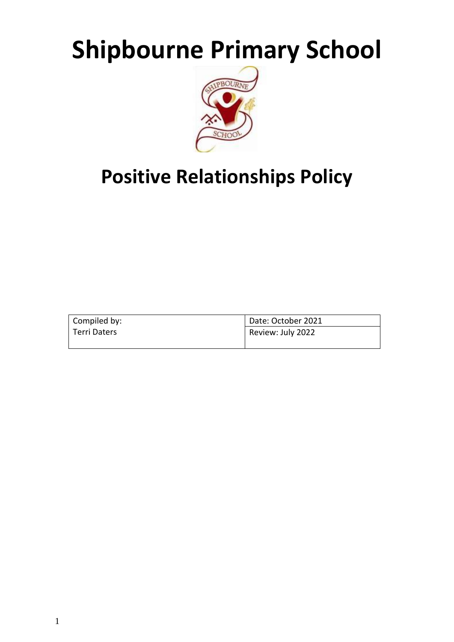# **Shipbourne Primary School**



# **Positive Relationships Policy**

| Compiled by: | Date: October 2021 |
|--------------|--------------------|
| Terri Daters | Review: July 2022  |
|              |                    |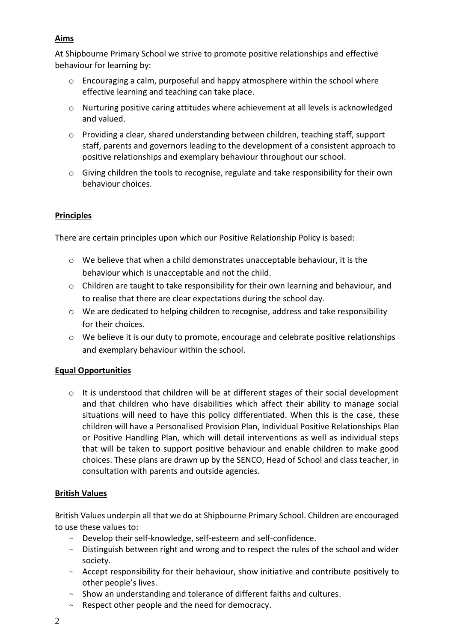# **Aims**

At Shipbourne Primary School we strive to promote positive relationships and effective behaviour for learning by:

- $\circ$  Encouraging a calm, purposeful and happy atmosphere within the school where effective learning and teaching can take place.
- o Nurturing positive caring attitudes where achievement at all levels is acknowledged and valued.
- o Providing a clear, shared understanding between children, teaching staff, support staff, parents and governors leading to the development of a consistent approach to positive relationships and exemplary behaviour throughout our school.
- $\circ$  Giving children the tools to recognise, regulate and take responsibility for their own behaviour choices.

# **Principles**

There are certain principles upon which our Positive Relationship Policy is based:

- o We believe that when a child demonstrates unacceptable behaviour, it is the behaviour which is unacceptable and not the child.
- $\circ$  Children are taught to take responsibility for their own learning and behaviour, and to realise that there are clear expectations during the school day.
- $\circ$  We are dedicated to helping children to recognise, address and take responsibility for their choices.
- o We believe it is our duty to promote, encourage and celebrate positive relationships and exemplary behaviour within the school.

# **Equal Opportunities**

o It is understood that children will be at different stages of their social development and that children who have disabilities which affect their ability to manage social situations will need to have this policy differentiated. When this is the case, these children will have a Personalised Provision Plan, Individual Positive Relationships Plan or Positive Handling Plan, which will detail interventions as well as individual steps that will be taken to support positive behaviour and enable children to make good choices. These plans are drawn up by the SENCO, Head of School and class teacher, in consultation with parents and outside agencies.

# **British Values**

British Values underpin all that we do at Shipbourne Primary School. Children are encouraged to use these values to:

- $\sim$  Develop their self-knowledge, self-esteem and self-confidence.
- $\sim$  Distinguish between right and wrong and to respect the rules of the school and wider society.
- $\sim$  Accept responsibility for their behaviour, show initiative and contribute positively to other people's lives.
- $\sim$  Show an understanding and tolerance of different faiths and cultures.
- $\sim$  Respect other people and the need for democracy.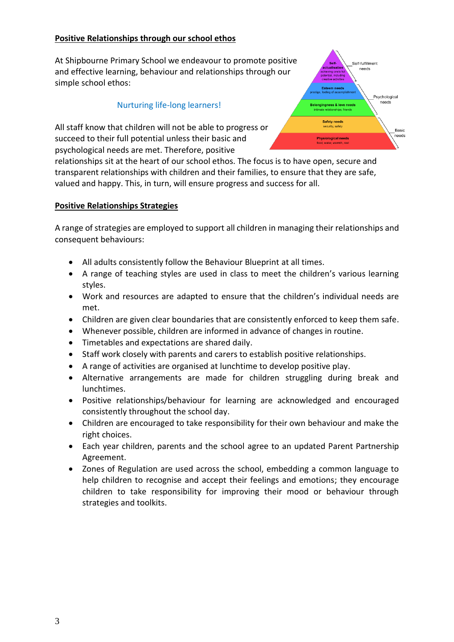# **Positive Relationships through our school ethos**

At Shipbourne Primary School we endeavour to promote positive and effective learning, behaviour and relationships through our simple school ethos:

#### Nurturing life-long learners!

All staff know that children will not be able to progress or succeed to their full potential unless their basic and psychological needs are met. Therefore, positive

relationships sit at the heart of our school ethos. The focus is to have open, secure and transparent relationships with children and their families, to ensure that they are safe, valued and happy. This, in turn, will ensure progress and success for all.

#### **Positive Relationships Strategies**

A range of strategies are employed to support all children in managing their relationships and consequent behaviours:

- All adults consistently follow the Behaviour Blueprint at all times.
- A range of teaching styles are used in class to meet the children's various learning styles.
- Work and resources are adapted to ensure that the children's individual needs are met.
- Children are given clear boundaries that are consistently enforced to keep them safe.
- Whenever possible, children are informed in advance of changes in routine.
- Timetables and expectations are shared daily.
- Staff work closely with parents and carers to establish positive relationships.
- A range of activities are organised at lunchtime to develop positive play.
- Alternative arrangements are made for children struggling during break and lunchtimes.
- Positive relationships/behaviour for learning are acknowledged and encouraged consistently throughout the school day.
- Children are encouraged to take responsibility for their own behaviour and make the right choices.
- Each year children, parents and the school agree to an updated Parent Partnership Agreement.
- Zones of Regulation are used across the school, embedding a common language to help children to recognise and accept their feelings and emotions; they encourage children to take responsibility for improving their mood or behaviour through strategies and toolkits.

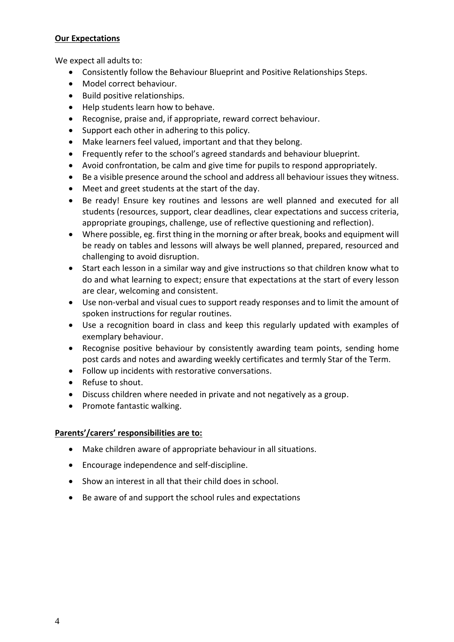# **Our Expectations**

We expect all adults to:

- Consistently follow the Behaviour Blueprint and Positive Relationships Steps.
- Model correct behaviour.
- Build positive relationships.
- Help students learn how to behave.
- Recognise, praise and, if appropriate, reward correct behaviour.
- Support each other in adhering to this policy.
- Make learners feel valued, important and that they belong.
- Frequently refer to the school's agreed standards and behaviour blueprint.
- Avoid confrontation, be calm and give time for pupils to respond appropriately.
- Be a visible presence around the school and address all behaviour issues they witness.
- Meet and greet students at the start of the day.
- Be ready! Ensure key routines and lessons are well planned and executed for all students (resources, support, clear deadlines, clear expectations and success criteria, appropriate groupings, challenge, use of reflective questioning and reflection).
- Where possible, eg. first thing in the morning or after break, books and equipment will be ready on tables and lessons will always be well planned, prepared, resourced and challenging to avoid disruption.
- Start each lesson in a similar way and give instructions so that children know what to do and what learning to expect; ensure that expectations at the start of every lesson are clear, welcoming and consistent.
- Use non-verbal and visual cues to support ready responses and to limit the amount of spoken instructions for regular routines.
- Use a recognition board in class and keep this regularly updated with examples of exemplary behaviour.
- Recognise positive behaviour by consistently awarding team points, sending home post cards and notes and awarding weekly certificates and termly Star of the Term.
- Follow up incidents with restorative conversations.
- Refuse to shout.
- Discuss children where needed in private and not negatively as a group.
- Promote fantastic walking.

# **Parents'/carers' responsibilities are to:**

- Make children aware of appropriate behaviour in all situations.
- Encourage independence and self-discipline.
- Show an interest in all that their child does in school.
- Be aware of and support the school rules and expectations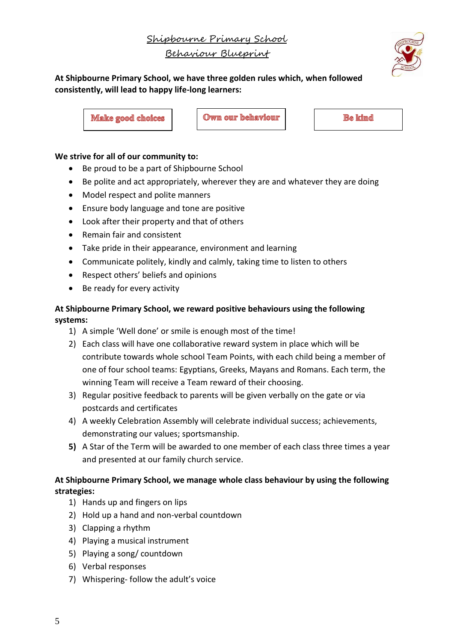Shipbourne Primary School Behaviour Blueprint



**At Shipbourne Primary School, we have three golden rules which, when followed consistently, will lead to happy life-long learners:**

**Make good choices** 

Own our behaviour

**Be kind** 

# **We strive for all of our community to:**

- Be proud to be a part of Shipbourne School
- Be polite and act appropriately, wherever they are and whatever they are doing
- Model respect and polite manners
- Ensure body language and tone are positive
- Look after their property and that of others
- Remain fair and consistent
- Take pride in their appearance, environment and learning
- Communicate politely, kindly and calmly, taking time to listen to others
- Respect others' beliefs and opinions
- Be ready for every activity

# **At Shipbourne Primary School, we reward positive behaviours using the following systems:**

- 1) A simple 'Well done' or smile is enough most of the time!
- 2) Each class will have one collaborative reward system in place which will be contribute towards whole school Team Points, with each child being a member of one of four school teams: Egyptians, Greeks, Mayans and Romans. Each term, the winning Team will receive a Team reward of their choosing.
- 3) Regular positive feedback to parents will be given verbally on the gate or via postcards and certificates
- 4) A weekly Celebration Assembly will celebrate individual success; achievements, demonstrating our values; sportsmanship.
- **5)** A Star of the Term will be awarded to one member of each class three times a year and presented at our family church service.

# **At Shipbourne Primary School, we manage whole class behaviour by using the following strategies:**

- 1) Hands up and fingers on lips
- 2) Hold up a hand and non-verbal countdown
- 3) Clapping a rhythm
- 4) Playing a musical instrument
- 5) Playing a song/ countdown
- 6) Verbal responses
- 7) Whispering- follow the adult's voice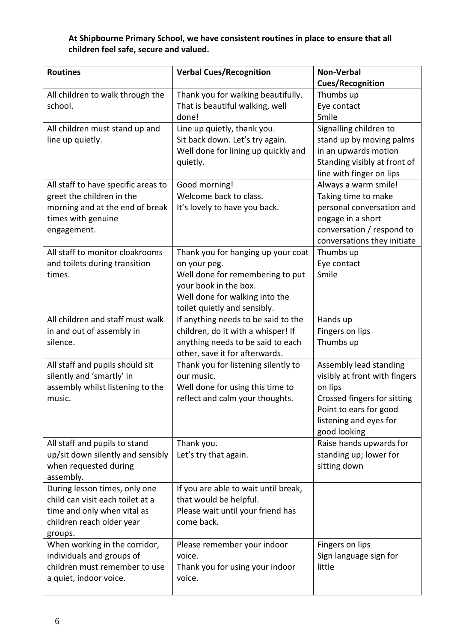# **At Shipbourne Primary School, we have consistent routines in place to ensure that all children feel safe, secure and valued.**

| <b>Routines</b>                       | <b>Verbal Cues/Recognition</b>                                          | <b>Non-Verbal</b>             |
|---------------------------------------|-------------------------------------------------------------------------|-------------------------------|
|                                       |                                                                         | <b>Cues/Recognition</b>       |
| All children to walk through the      | Thank you for walking beautifully.                                      | Thumbs up                     |
| school.                               | That is beautiful walking, well                                         | Eye contact                   |
|                                       | done!                                                                   | Smile                         |
| All children must stand up and        | Line up quietly, thank you.                                             | Signalling children to        |
| line up quietly.                      | Sit back down. Let's try again.                                         | stand up by moving palms      |
|                                       | Well done for lining up quickly and                                     | in an upwards motion          |
|                                       | quietly.                                                                | Standing visibly at front of  |
|                                       |                                                                         | line with finger on lips      |
| All staff to have specific areas to   | Good morning!                                                           | Always a warm smile!          |
| greet the children in the             | Welcome back to class.                                                  | Taking time to make           |
| morning and at the end of break       | It's lovely to have you back.                                           | personal conversation and     |
| times with genuine                    |                                                                         | engage in a short             |
| engagement.                           |                                                                         | conversation / respond to     |
|                                       |                                                                         | conversations they initiate   |
| All staff to monitor cloakrooms       | Thank you for hanging up your coat                                      | Thumbs up                     |
| and toilets during transition         | on your peg.                                                            | Eye contact                   |
| times.                                | Well done for remembering to put                                        | Smile                         |
|                                       | your book in the box.                                                   |                               |
|                                       | Well done for walking into the                                          |                               |
|                                       | toilet quietly and sensibly.                                            |                               |
| All children and staff must walk      | If anything needs to be said to the                                     | Hands up                      |
| in and out of assembly in<br>silence. | children, do it with a whisper! If<br>anything needs to be said to each | Fingers on lips<br>Thumbs up  |
|                                       | other, save it for afterwards.                                          |                               |
| All staff and pupils should sit       | Thank you for listening silently to                                     | Assembly lead standing        |
| silently and 'smartly' in             | our music.                                                              | visibly at front with fingers |
| assembly whilst listening to the      | Well done for using this time to                                        | on lips                       |
| music.                                | reflect and calm your thoughts.                                         | Crossed fingers for sitting   |
|                                       |                                                                         | Point to ears for good        |
|                                       |                                                                         | listening and eyes for        |
|                                       |                                                                         | good looking                  |
| All staff and pupils to stand         | Thank you.                                                              | Raise hands upwards for       |
| up/sit down silently and sensibly     | Let's try that again.                                                   | standing up; lower for        |
| when requested during                 |                                                                         | sitting down                  |
| assembly.                             |                                                                         |                               |
| During lesson times, only one         | If you are able to wait until break,                                    |                               |
| child can visit each toilet at a      | that would be helpful.                                                  |                               |
| time and only when vital as           | Please wait until your friend has                                       |                               |
| children reach older year             | come back.                                                              |                               |
| groups.                               |                                                                         |                               |
| When working in the corridor,         | Please remember your indoor                                             | Fingers on lips               |
| individuals and groups of             | voice.                                                                  | Sign language sign for        |
| children must remember to use         | Thank you for using your indoor                                         | little                        |
| a quiet, indoor voice.                | voice.                                                                  |                               |
|                                       |                                                                         |                               |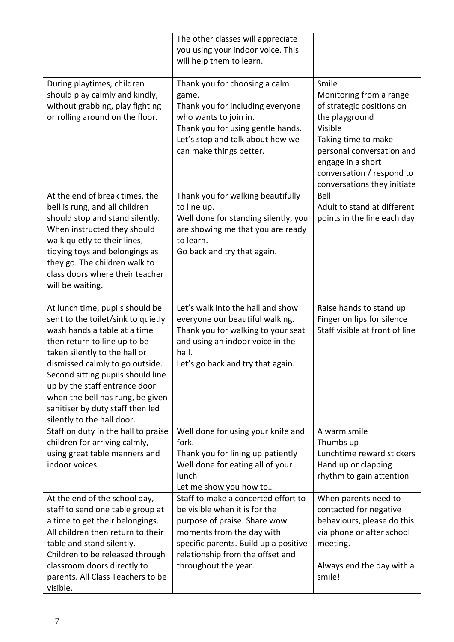|                                                                                                                                                                                                                                                                                                                                                                                       | The other classes will appreciate<br>you using your indoor voice. This<br>will help them to learn.                                                                                                                                     |                                                                                                                                                                                                                                 |
|---------------------------------------------------------------------------------------------------------------------------------------------------------------------------------------------------------------------------------------------------------------------------------------------------------------------------------------------------------------------------------------|----------------------------------------------------------------------------------------------------------------------------------------------------------------------------------------------------------------------------------------|---------------------------------------------------------------------------------------------------------------------------------------------------------------------------------------------------------------------------------|
| During playtimes, children<br>should play calmly and kindly,<br>without grabbing, play fighting<br>or rolling around on the floor.                                                                                                                                                                                                                                                    | Thank you for choosing a calm<br>game.<br>Thank you for including everyone<br>who wants to join in.<br>Thank you for using gentle hands.<br>Let's stop and talk about how we<br>can make things better.                                | Smile<br>Monitoring from a range<br>of strategic positions on<br>the playground<br>Visible<br>Taking time to make<br>personal conversation and<br>engage in a short<br>conversation / respond to<br>conversations they initiate |
| At the end of break times, the<br>bell is rung, and all children<br>should stop and stand silently.<br>When instructed they should<br>walk quietly to their lines,<br>tidying toys and belongings as<br>they go. The children walk to<br>class doors where their teacher<br>will be waiting.                                                                                          | Thank you for walking beautifully<br>to line up.<br>Well done for standing silently, you<br>are showing me that you are ready<br>to learn.<br>Go back and try that again.                                                              | Bell<br>Adult to stand at different<br>points in the line each day                                                                                                                                                              |
| At lunch time, pupils should be<br>sent to the toilet/sink to quietly<br>wash hands a table at a time<br>then return to line up to be<br>taken silently to the hall or<br>dismissed calmly to go outside.<br>Second sitting pupils should line<br>up by the staff entrance door<br>when the bell has rung, be given<br>sanitiser by duty staff then led<br>silently to the hall door. | Let's walk into the hall and show<br>everyone our beautiful walking.<br>Thank you for walking to your seat<br>and using an indoor voice in the<br>hall.<br>Let's go back and try that again.                                           | Raise hands to stand up<br>Finger on lips for silence<br>Staff visible at front of line                                                                                                                                         |
| Staff on duty in the hall to praise<br>children for arriving calmly,<br>using great table manners and<br>indoor voices.                                                                                                                                                                                                                                                               | Well done for using your knife and<br>fork.<br>Thank you for lining up patiently<br>Well done for eating all of your<br>lunch<br>Let me show you how to                                                                                | A warm smile<br>Thumbs up<br>Lunchtime reward stickers<br>Hand up or clapping<br>rhythm to gain attention                                                                                                                       |
| At the end of the school day,<br>staff to send one table group at<br>a time to get their belongings.<br>All children then return to their<br>table and stand silently.<br>Children to be released through<br>classroom doors directly to<br>parents. All Class Teachers to be<br>visible.                                                                                             | Staff to make a concerted effort to<br>be visible when it is for the<br>purpose of praise. Share wow<br>moments from the day with<br>specific parents. Build up a positive<br>relationship from the offset and<br>throughout the year. | When parents need to<br>contacted for negative<br>behaviours, please do this<br>via phone or after school<br>meeting.<br>Always end the day with a<br>smile!                                                                    |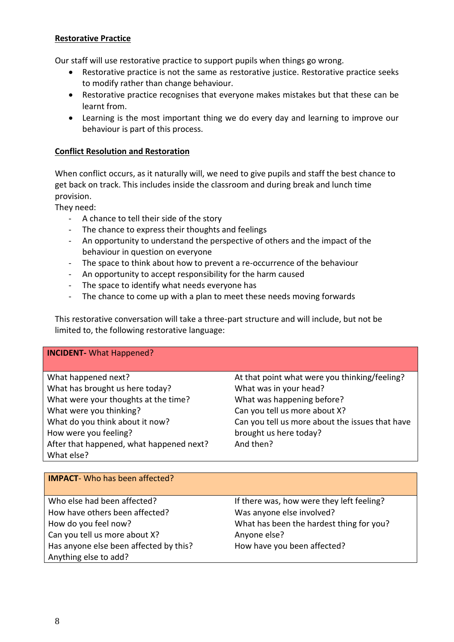# **Restorative Practice**

Our staff will use restorative practice to support pupils when things go wrong.

- Restorative practice is not the same as restorative justice. Restorative practice seeks to modify rather than change behaviour.
- Restorative practice recognises that everyone makes mistakes but that these can be learnt from.
- Learning is the most important thing we do every day and learning to improve our behaviour is part of this process.

#### **Conflict Resolution and Restoration**

When conflict occurs, as it naturally will, we need to give pupils and staff the best chance to get back on track. This includes inside the classroom and during break and lunch time provision.

They need:

- A chance to tell their side of the story
- The chance to express their thoughts and feelings
- An opportunity to understand the perspective of others and the impact of the behaviour in question on everyone
- The space to think about how to prevent a re-occurrence of the behaviour
- An opportunity to accept responsibility for the harm caused
- The space to identify what needs everyone has
- The chance to come up with a plan to meet these needs moving forwards

This restorative conversation will take a three-part structure and will include, but not be limited to, the following restorative language:

#### **INCIDENT-** What Happened?

| What happened next?                      | At that point what were you thinking/feeling?   |
|------------------------------------------|-------------------------------------------------|
| What has brought us here today?          | What was in your head?                          |
| What were your thoughts at the time?     | What was happening before?                      |
| What were you thinking?                  | Can you tell us more about X?                   |
| What do you think about it now?          | Can you tell us more about the issues that have |
| How were you feeling?                    | brought us here today?                          |
| After that happened, what happened next? | And then?                                       |
| What else?                               |                                                 |

| <b>IMPACT</b> -Who has been affected?  |                                           |
|----------------------------------------|-------------------------------------------|
| Who else had been affected?            | If there was, how were they left feeling? |
| How have others been affected?         | Was anyone else involved?                 |
| How do you feel now?                   | What has been the hardest thing for you?  |
| Can you tell us more about X?          | Anyone else?                              |
| Has anyone else been affected by this? | How have you been affected?               |
| Anything else to add?                  |                                           |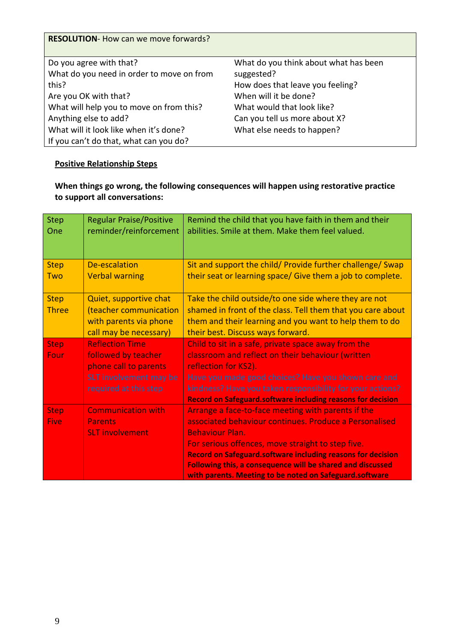| <b>RESOLUTION-</b> How can we move forwards? |                                       |
|----------------------------------------------|---------------------------------------|
|                                              |                                       |
| Do you agree with that?                      | What do you think about what has been |
| What do you need in order to move on from    | suggested?                            |
| this?                                        | How does that leave you feeling?      |
| Are you OK with that?                        | When will it be done?                 |
| What will help you to move on from this?     | What would that look like?            |
| Anything else to add?                        | Can you tell us more about X?         |
| What will it look like when it's done?       | What else needs to happen?            |
| If you can't do that, what can you do?       |                                       |

# **Positive Relationship Steps**

# **When things go wrong, the following consequences will happen using restorative practice to support all conversations:**

| <b>Step</b><br>One | <b>Regular Praise/Positive</b><br>reminder/reinforcement | Remind the child that you have faith in them and their<br>abilities. Smile at them. Make them feel valued. |
|--------------------|----------------------------------------------------------|------------------------------------------------------------------------------------------------------------|
| <b>Step</b>        | <b>De-escalation</b>                                     | Sit and support the child/ Provide further challenge/ Swap                                                 |
| <b>Two</b>         | <b>Verbal warning</b>                                    | their seat or learning space/ Give them a job to complete.                                                 |
| <b>Step</b>        | Quiet, supportive chat                                   | Take the child outside/to one side where they are not                                                      |
| <b>Three</b>       | (teacher communication                                   | shamed in front of the class. Tell them that you care about                                                |
|                    | with parents via phone                                   | them and their learning and you want to help them to do                                                    |
|                    | call may be necessary)                                   | their best. Discuss ways forward.                                                                          |
| <b>Step</b>        | <b>Reflection Time</b>                                   | Child to sit in a safe, private space away from the                                                        |
| Four               | followed by teacher                                      | classroom and reflect on their behaviour (written                                                          |
|                    | phone call to parents                                    | reflection for KS2).                                                                                       |
|                    | SLT involvement may be                                   | Have you made good choices? Have you shown care and                                                        |
|                    | required at this step                                    | kindness? Have you taken responsibility for your actions?                                                  |
|                    |                                                          | <b>Record on Safeguard.software including reasons for decision</b>                                         |
| <b>Step</b>        | <b>Communication with</b>                                | Arrange a face-to-face meeting with parents if the                                                         |
| <b>Five</b>        | <b>Parents</b>                                           | associated behaviour continues. Produce a Personalised                                                     |
|                    | <b>SLT involvement</b>                                   | <b>Behaviour Plan.</b>                                                                                     |
|                    |                                                          | For serious offences, move straight to step five.                                                          |
|                    |                                                          | <b>Record on Safeguard.software including reasons for decision</b>                                         |
|                    |                                                          | Following this, a consequence will be shared and discussed                                                 |
|                    |                                                          | with parents. Meeting to be noted on Safeguard.software                                                    |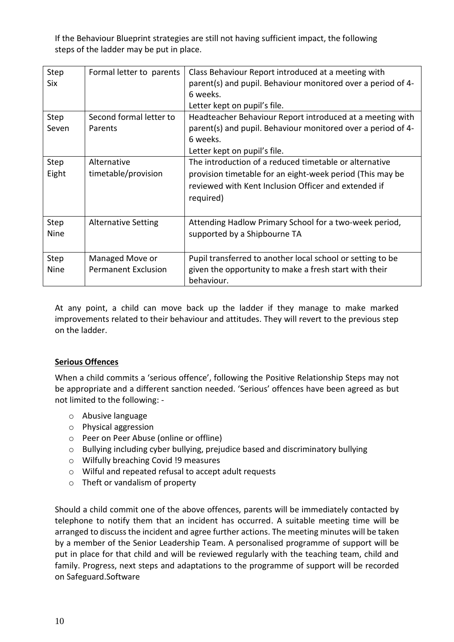If the Behaviour Blueprint strategies are still not having sufficient impact, the following steps of the ladder may be put in place.

| Step<br>Six   | Formal letter to parents           | Class Behaviour Report introduced at a meeting with<br>parent(s) and pupil. Behaviour monitored over a period of 4-<br>6 weeks.<br>Letter kept on pupil's file. |
|---------------|------------------------------------|-----------------------------------------------------------------------------------------------------------------------------------------------------------------|
| Step<br>Seven | Second formal letter to<br>Parents | Headteacher Behaviour Report introduced at a meeting with<br>parent(s) and pupil. Behaviour monitored over a period of 4-                                       |
|               |                                    | 6 weeks.                                                                                                                                                        |
|               |                                    | Letter kept on pupil's file.                                                                                                                                    |
| Step          | Alternative                        | The introduction of a reduced timetable or alternative                                                                                                          |
| Eight         | timetable/provision                | provision timetable for an eight-week period (This may be                                                                                                       |
|               |                                    | reviewed with Kent Inclusion Officer and extended if                                                                                                            |
|               |                                    | required)                                                                                                                                                       |
|               |                                    |                                                                                                                                                                 |
| Step          | <b>Alternative Setting</b>         | Attending Hadlow Primary School for a two-week period,                                                                                                          |
| <b>Nine</b>   |                                    | supported by a Shipbourne TA                                                                                                                                    |
|               |                                    |                                                                                                                                                                 |
| Step          | Managed Move or                    | Pupil transferred to another local school or setting to be                                                                                                      |
| Nine          | <b>Permanent Exclusion</b>         | given the opportunity to make a fresh start with their                                                                                                          |
|               |                                    | behaviour.                                                                                                                                                      |

At any point, a child can move back up the ladder if they manage to make marked improvements related to their behaviour and attitudes. They will revert to the previous step on the ladder.

# **Serious Offences**

When a child commits a 'serious offence', following the Positive Relationship Steps may not be appropriate and a different sanction needed. 'Serious' offences have been agreed as but not limited to the following: -

- o Abusive language
- o Physical aggression
- o Peer on Peer Abuse (online or offline)
- o Bullying including cyber bullying, prejudice based and discriminatory bullying
- o Wilfully breaching Covid !9 measures
- o Wilful and repeated refusal to accept adult requests
- o Theft or vandalism of property

Should a child commit one of the above offences, parents will be immediately contacted by telephone to notify them that an incident has occurred. A suitable meeting time will be arranged to discuss the incident and agree further actions. The meeting minutes will be taken by a member of the Senior Leadership Team. A personalised programme of support will be put in place for that child and will be reviewed regularly with the teaching team, child and family. Progress, next steps and adaptations to the programme of support will be recorded on Safeguard.Software